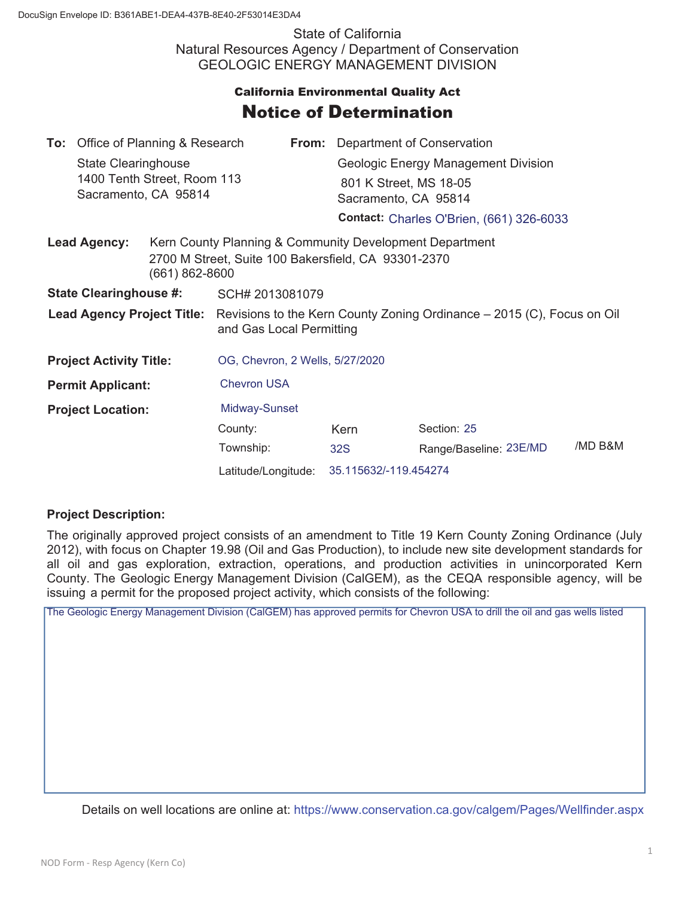State of California Natural Resources Agency / Department of Conservation GEOLOGIC ENERGY MANAGEMENT DIVISION

## **California Environmental Quality Act** Notice of Determination

|                                                     | <b>To:</b> Office of Planning & Research |  |                                                                                                                               |  | <b>From:</b> Department of Conservation        |                        |         |  |
|-----------------------------------------------------|------------------------------------------|--|-------------------------------------------------------------------------------------------------------------------------------|--|------------------------------------------------|------------------------|---------|--|
|                                                     | State Clearinghouse                      |  |                                                                                                                               |  | Geologic Energy Management Division            |                        |         |  |
| 1400 Tenth Street, Room 113<br>Sacramento, CA 95814 |                                          |  |                                                                                                                               |  | 801 K Street, MS 18-05<br>Sacramento, CA 95814 |                        |         |  |
|                                                     |                                          |  |                                                                                                                               |  | Contact: Charles O'Brien, (661) 326-6033       |                        |         |  |
| <b>Lead Agency:</b><br>(661) 862-8600               |                                          |  | Kern County Planning & Community Development Department<br>2700 M Street, Suite 100 Bakersfield, CA 93301-2370                |  |                                                |                        |         |  |
| <b>State Clearinghouse #:</b>                       |                                          |  | SCH# 2013081079                                                                                                               |  |                                                |                        |         |  |
|                                                     |                                          |  | Lead Agency Project Title: Revisions to the Kern County Zoning Ordinance - 2015 (C), Focus on Oil<br>and Gas Local Permitting |  |                                                |                        |         |  |
| <b>Project Activity Title:</b>                      |                                          |  | OG, Chevron, 2 Wells, 5/27/2020                                                                                               |  |                                                |                        |         |  |
| <b>Permit Applicant:</b>                            |                                          |  | <b>Chevron USA</b>                                                                                                            |  |                                                |                        |         |  |
| <b>Project Location:</b>                            |                                          |  | Midway-Sunset                                                                                                                 |  |                                                |                        |         |  |
|                                                     |                                          |  | County:                                                                                                                       |  | Kern                                           | Section: 25            |         |  |
|                                                     |                                          |  | Township:                                                                                                                     |  | <b>32S</b>                                     | Range/Baseline: 23E/MD | /MD B&M |  |
|                                                     |                                          |  | Latitude/Longitude:                                                                                                           |  | 35.115632/-119.454274                          |                        |         |  |

## **Project Description:**

The originally approved project consists of an amendment to Title 19 Kern County Zoning Ordinance (July 2012), with focus on Chapter 19.98 (Oil and Gas Production), to include new site development standards for all oil and gas exploration, extraction, operations, and production activities in unincorporated Kern County. The Geologic Energy Management Division (CalGEM), as the CEQA responsible agency, will be issuing a permit for the proposed project activity, which consists of the following:

The Geologic Energy Management Division (CalGEM) has approved permits for Chevron USA to drill the oil and gas wells listed

Details on well locations are online at: https://www.conservation.ca.gov/calgem/Pages/Wellfinder.aspx